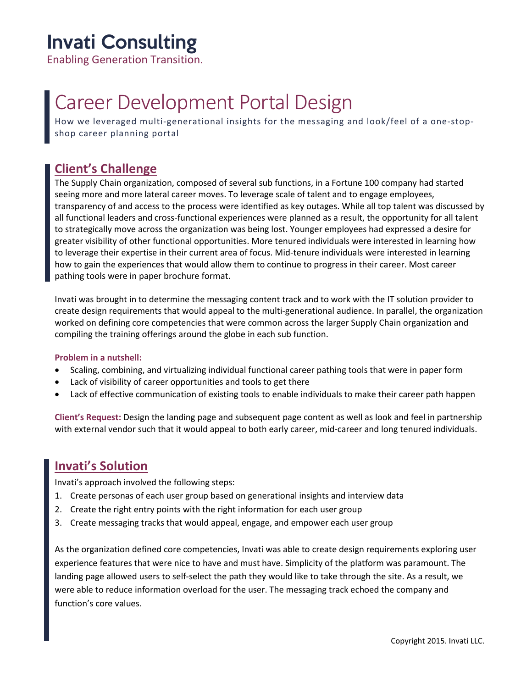## Invati Consulting

Enabling Generation Transition.

# Career Development Portal Design

How we leveraged multi-generational insights for the messaging and look/feel of a one-stopshop career planning portal

### **Client's Challenge**

The Supply Chain organization, composed of several sub functions, in a Fortune 100 company had started seeing more and more lateral career moves. To leverage scale of talent and to engage employees, transparency of and access to the process were identified as key outages. While all top talent was discussed by all functional leaders and cross-functional experiences were planned as a result, the opportunity for all talent to strategically move across the organization was being lost. Younger employees had expressed a desire for greater visibility of other functional opportunities. More tenured individuals were interested in learning how to leverage their expertise in their current area of focus. Mid-tenure individuals were interested in learning how to gain the experiences that would allow them to continue to progress in their career. Most career pathing tools were in paper brochure format.

Invati was brought in to determine the messaging content track and to work with the IT solution provider to create design requirements that would appeal to the multi-generational audience. In parallel, the organization worked on defining core competencies that were common across the larger Supply Chain organization and compiling the training offerings around the globe in each sub function.

#### **Problem in a nutshell:**

- Scaling, combining, and virtualizing individual functional career pathing tools that were in paper form
- Lack of visibility of career opportunities and tools to get there
- Lack of effective communication of existing tools to enable individuals to make their career path happen

**Client's Request:** Design the landing page and subsequent page content as well as look and feel in partnership with external vendor such that it would appeal to both early career, mid-career and long tenured individuals.

#### **Invati's Solution**

Invati's approach involved the following steps:

- 1. Create personas of each user group based on generational insights and interview data
- 2. Create the right entry points with the right information for each user group
- 3. Create messaging tracks that would appeal, engage, and empower each user group

As the organization defined core competencies, Invati was able to create design requirements exploring user experience features that were nice to have and must have. Simplicity of the platform was paramount. The landing page allowed users to self-select the path they would like to take through the site. As a result, we were able to reduce information overload for the user. The messaging track echoed the company and function's core values.